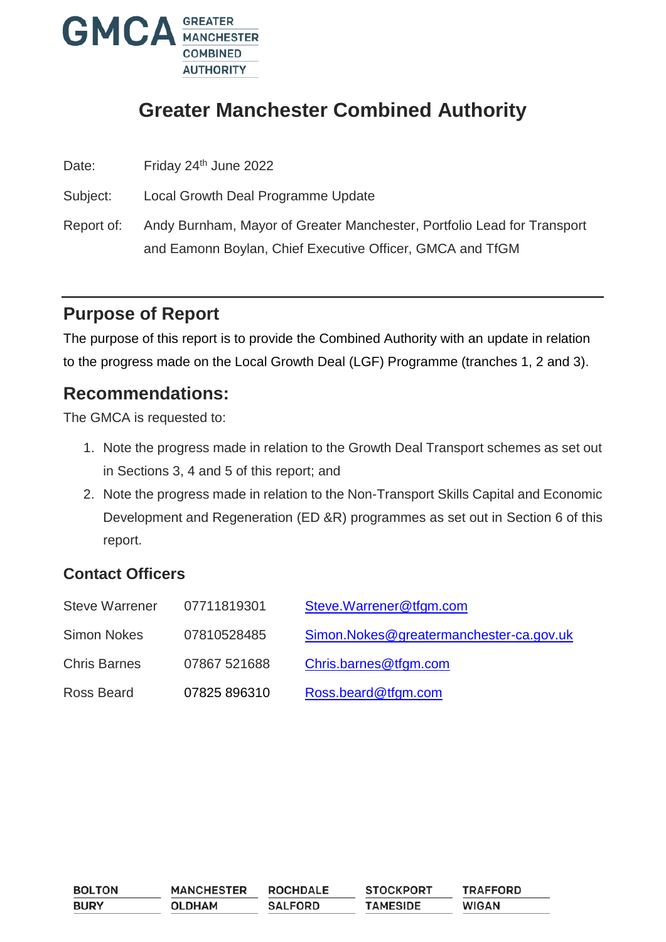

# **Greater Manchester Combined Authority**

Date: Friday 24<sup>th</sup> June 2022

Subject: Local Growth Deal Programme Update

Report of: Andy Burnham, Mayor of Greater Manchester, Portfolio Lead for Transport and Eamonn Boylan, Chief Executive Officer, GMCA and TfGM

## **Purpose of Report**

The purpose of this report is to provide the Combined Authority with an update in relation to the progress made on the Local Growth Deal (LGF) Programme (tranches 1, 2 and 3).

## **Recommendations:**

The GMCA is requested to:

- 1. Note the progress made in relation to the Growth Deal Transport schemes as set out in Sections 3, 4 and 5 of this report; and
- 2. Note the progress made in relation to the Non-Transport Skills Capital and Economic Development and Regeneration (ED &R) programmes as set out in Section 6 of this report.

## **Contact Officers**

| <b>Steve Warrener</b> | 07711819301  | Steve.Warrener@tfgm.com                 |
|-----------------------|--------------|-----------------------------------------|
| <b>Simon Nokes</b>    | 07810528485  | Simon.Nokes@greatermanchester-ca.gov.uk |
| <b>Chris Barnes</b>   | 07867 521688 | Chris.barnes@tfgm.com                   |
| Ross Beard            | 07825 896310 | Ross.beard@tfgm.com                     |

| <b>BOLTON</b> | <b>MANCHESTER</b> | <b>ROCHDALE</b> | <b>STOCKPORT</b> | <b>TRAFFORD</b> |
|---------------|-------------------|-----------------|------------------|-----------------|
| <b>BURY</b>   | <b>OLDHAM</b>     | <b>SALFORD</b>  | <b>TAMESIDE</b>  | <b>WIGAN</b>    |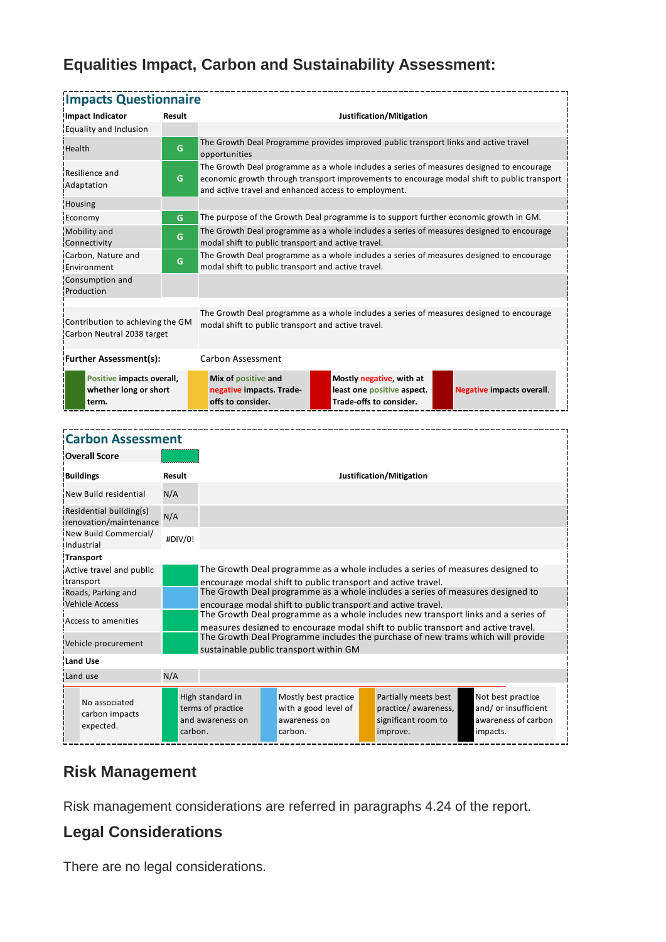## **Equalities Impact, Carbon and Sustainability Assessment:**

| <b>Impacts Questionnaire</b>                                                                                                           |         |                                                                                                                                                                                                                                                 |                                                                                                                                                |                                                                         |  |                                                                                   |  |                                                                              |
|----------------------------------------------------------------------------------------------------------------------------------------|---------|-------------------------------------------------------------------------------------------------------------------------------------------------------------------------------------------------------------------------------------------------|------------------------------------------------------------------------------------------------------------------------------------------------|-------------------------------------------------------------------------|--|-----------------------------------------------------------------------------------|--|------------------------------------------------------------------------------|
| Impact Indicator                                                                                                                       | Result  | Justification/Mitigation                                                                                                                                                                                                                        |                                                                                                                                                |                                                                         |  |                                                                                   |  |                                                                              |
| Equality and Inclusion                                                                                                                 |         |                                                                                                                                                                                                                                                 |                                                                                                                                                |                                                                         |  |                                                                                   |  |                                                                              |
| Health                                                                                                                                 | G       | The Growth Deal Programme provides improved public transport links and active travel<br>opportunities                                                                                                                                           |                                                                                                                                                |                                                                         |  |                                                                                   |  |                                                                              |
| Resilience and<br>Adaptation                                                                                                           | G       | The Growth Deal programme as a whole includes a series of measures designed to encourage<br>economic growth through transport improvements to encourage modal shift to public transport<br>and active travel and enhanced access to employment. |                                                                                                                                                |                                                                         |  |                                                                                   |  |                                                                              |
| Housing                                                                                                                                |         |                                                                                                                                                                                                                                                 |                                                                                                                                                |                                                                         |  |                                                                                   |  |                                                                              |
| Economy                                                                                                                                | G       | The purpose of the Growth Deal programme is to support further economic growth in GM.                                                                                                                                                           |                                                                                                                                                |                                                                         |  |                                                                                   |  |                                                                              |
| Mobility and<br>Connectivity                                                                                                           | G       | The Growth Deal programme as a whole includes a series of measures designed to encourage<br>modal shift to public transport and active travel.                                                                                                  |                                                                                                                                                |                                                                         |  |                                                                                   |  |                                                                              |
| Carbon, Nature and<br>Environment                                                                                                      | G       | The Growth Deal programme as a whole includes a series of measures designed to encourage<br>modal shift to public transport and active travel.                                                                                                  |                                                                                                                                                |                                                                         |  |                                                                                   |  |                                                                              |
| Consumption and<br>Production                                                                                                          |         |                                                                                                                                                                                                                                                 |                                                                                                                                                |                                                                         |  |                                                                                   |  |                                                                              |
| Contribution to achieving the GM<br>Carbon Neutral 2038 target                                                                         |         | The Growth Deal programme as a whole includes a series of measures designed to encourage<br>modal shift to public transport and active travel.                                                                                                  |                                                                                                                                                |                                                                         |  |                                                                                   |  |                                                                              |
| <b>Further Assessment(s):</b>                                                                                                          |         | Carbon Assessment                                                                                                                                                                                                                               |                                                                                                                                                |                                                                         |  |                                                                                   |  |                                                                              |
| Positive impacts overall,<br>whether long or short<br>term.                                                                            |         | Mix of positive and<br>negative impacts. Trade-<br>offs to consider.                                                                                                                                                                            |                                                                                                                                                |                                                                         |  | Mostly negative, with at<br>least one positive aspect.<br>Trade-offs to consider. |  | <b>Negative impacts overall.</b>                                             |
|                                                                                                                                        |         |                                                                                                                                                                                                                                                 |                                                                                                                                                |                                                                         |  |                                                                                   |  |                                                                              |
|                                                                                                                                        |         |                                                                                                                                                                                                                                                 |                                                                                                                                                |                                                                         |  |                                                                                   |  |                                                                              |
| <b>Carbon Assessment</b>                                                                                                               |         |                                                                                                                                                                                                                                                 |                                                                                                                                                |                                                                         |  |                                                                                   |  |                                                                              |
| <b>Overall Score</b>                                                                                                                   |         |                                                                                                                                                                                                                                                 |                                                                                                                                                |                                                                         |  |                                                                                   |  |                                                                              |
| <b>Buildings</b>                                                                                                                       | Result  |                                                                                                                                                                                                                                                 | Justification/Mitigation                                                                                                                       |                                                                         |  |                                                                                   |  |                                                                              |
| New Build residential                                                                                                                  | N/A     |                                                                                                                                                                                                                                                 |                                                                                                                                                |                                                                         |  |                                                                                   |  |                                                                              |
| Residential building(s)<br>renovation/maintenance                                                                                      | N/A     |                                                                                                                                                                                                                                                 |                                                                                                                                                |                                                                         |  |                                                                                   |  |                                                                              |
| New Build Commercial/<br>Industrial                                                                                                    | #DIV/0! |                                                                                                                                                                                                                                                 |                                                                                                                                                |                                                                         |  |                                                                                   |  |                                                                              |
| <b>Transport</b>                                                                                                                       |         |                                                                                                                                                                                                                                                 |                                                                                                                                                |                                                                         |  |                                                                                   |  |                                                                              |
| Active travel and public<br>transport                                                                                                  |         |                                                                                                                                                                                                                                                 | The Growth Deal programme as a whole includes a series of measures designed to<br>encourage modal shift to public transport and active travel. |                                                                         |  |                                                                                   |  |                                                                              |
| iRoads, Parking and<br><b>Vehicle Access</b>                                                                                           |         | The Growth Deal programme as a whole includes a series of measures designed to<br>encourage modal shift to public transport and active travel.                                                                                                  |                                                                                                                                                |                                                                         |  |                                                                                   |  |                                                                              |
| Access to amenities                                                                                                                    |         | The Growth Deal programme as a whole includes new transport links and a series of                                                                                                                                                               |                                                                                                                                                |                                                                         |  |                                                                                   |  |                                                                              |
| Vehicle procurement                                                                                                                    |         | measures designed to encourage modal shift to public transport and active travel.<br>The Growth Deal Programme includes the purchase of new trams which will provide<br>sustainable public transport within GM                                  |                                                                                                                                                |                                                                         |  |                                                                                   |  |                                                                              |
| Land Use                                                                                                                               |         |                                                                                                                                                                                                                                                 |                                                                                                                                                |                                                                         |  |                                                                                   |  |                                                                              |
| Land use                                                                                                                               | N/A     |                                                                                                                                                                                                                                                 |                                                                                                                                                |                                                                         |  |                                                                                   |  |                                                                              |
|                                                                                                                                        |         |                                                                                                                                                                                                                                                 |                                                                                                                                                |                                                                         |  |                                                                                   |  |                                                                              |
| No associated<br>carbon impacts<br>expected.                                                                                           | carbon. | High standard in<br>terms of practice<br>and awareness on                                                                                                                                                                                       |                                                                                                                                                | Mostly best practice<br>with a good level of<br>awareness on<br>carbon. |  | Partially meets best<br>practice/awareness,<br>significant room to<br>improve.    |  | Not best practice<br>and/ or insufficient<br>awareness of carbon<br>impacts. |
| <b>Risk Management</b><br>Risk management considerations are referred in paragraphs 4.24 of the report.<br><b>Legal Considerations</b> |         |                                                                                                                                                                                                                                                 |                                                                                                                                                |                                                                         |  |                                                                                   |  |                                                                              |
| There are no legal considerations.                                                                                                     |         |                                                                                                                                                                                                                                                 |                                                                                                                                                |                                                                         |  |                                                                                   |  |                                                                              |

| <b>Buildings</b>                                  | Result  | Justification/Mitigation                                                                                                                                               |                                                                         |                                                                                 |                                                                             |  |  |  |
|---------------------------------------------------|---------|------------------------------------------------------------------------------------------------------------------------------------------------------------------------|-------------------------------------------------------------------------|---------------------------------------------------------------------------------|-----------------------------------------------------------------------------|--|--|--|
| New Build residential                             | N/A     |                                                                                                                                                                        |                                                                         |                                                                                 |                                                                             |  |  |  |
| Residential building(s)<br>renovation/maintenance | N/A     |                                                                                                                                                                        |                                                                         |                                                                                 |                                                                             |  |  |  |
| New Build Commercial/<br>Industrial               | #DIV/0! |                                                                                                                                                                        |                                                                         |                                                                                 |                                                                             |  |  |  |
| <b>Transport</b>                                  |         |                                                                                                                                                                        |                                                                         |                                                                                 |                                                                             |  |  |  |
| Active travel and public<br>transport             |         | The Growth Deal programme as a whole includes a series of measures designed to<br>encourage modal shift to public transport and active travel.                         |                                                                         |                                                                                 |                                                                             |  |  |  |
| Roads, Parking and                                |         | The Growth Deal programme as a whole includes a series of measures designed to                                                                                         |                                                                         |                                                                                 |                                                                             |  |  |  |
| <b>Vehicle Access</b>                             |         | encourage modal shift to public transport and active travel.                                                                                                           |                                                                         |                                                                                 |                                                                             |  |  |  |
| Access to amenities                               |         | The Growth Deal programme as a whole includes new transport links and a series of<br>measures designed to encourage modal shift to public transport and active travel. |                                                                         |                                                                                 |                                                                             |  |  |  |
| Vehicle procurement                               |         | The Growth Deal Programme includes the purchase of new trams which will provide<br>sustainable public transport within GM                                              |                                                                         |                                                                                 |                                                                             |  |  |  |
| Land Use                                          |         |                                                                                                                                                                        |                                                                         |                                                                                 |                                                                             |  |  |  |
| Land use                                          | N/A     |                                                                                                                                                                        |                                                                         |                                                                                 |                                                                             |  |  |  |
| No associated<br>carbon impacts<br>expected.      | carbon. | High standard in<br>terms of practice<br>and awareness on                                                                                                              | Mostly best practice<br>with a good level of<br>awareness on<br>carbon. | Partially meets best<br>practice/ awareness,<br>significant room to<br>improve. | Not best practice<br>and/or insufficient<br>awareness of carbon<br>impacts. |  |  |  |

## **Risk Management**

## **Legal Considerations**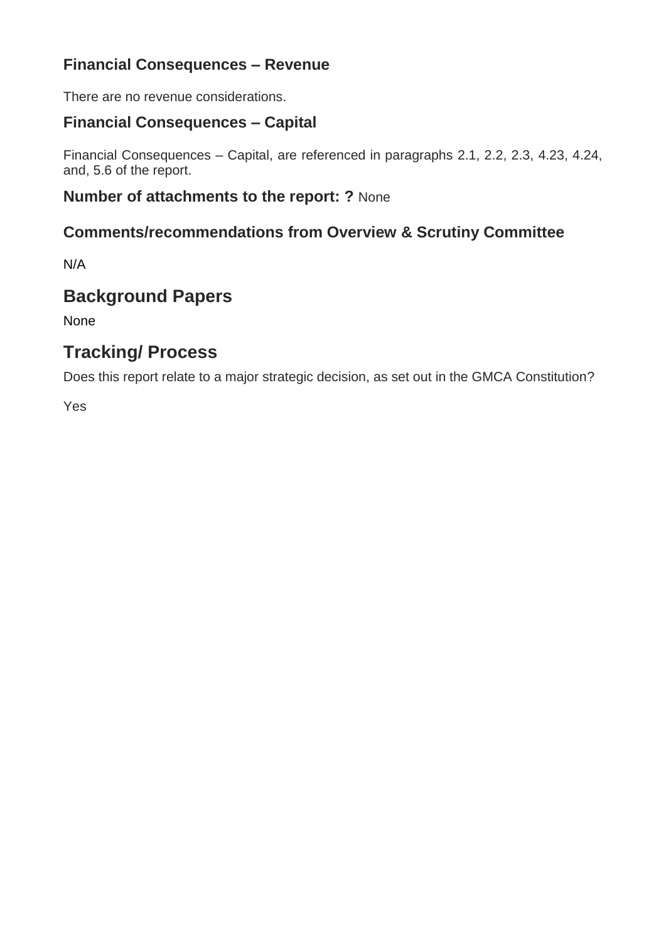## **Financial Consequences – Revenue**

There are no revenue considerations.

## **Financial Consequences – Capital**

Financial Consequences – Capital, are referenced in paragraphs 2.1, 2.2, 2.3, 4.23, 4.24, and, 5.6 of the report.

### **Number of attachments to the report: ?** None

### **Comments/recommendations from Overview & Scrutiny Committee**

N/A

## **Background Papers**

None

# **Tracking/ Process**

Does this report relate to a major strategic decision, as set out in the GMCA Constitution?

Yes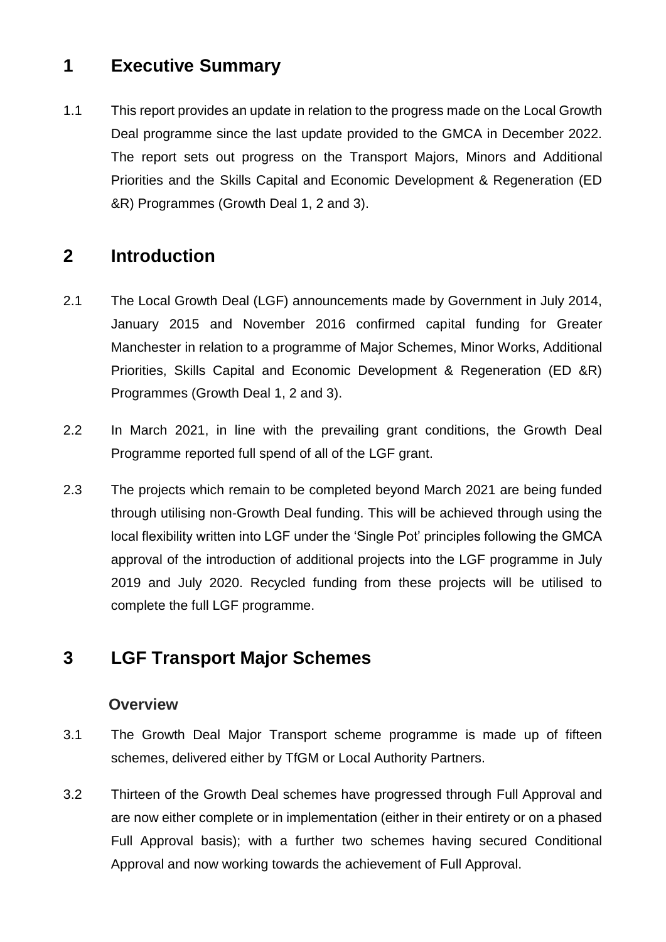## **1 Executive Summary**

1.1 This report provides an update in relation to the progress made on the Local Growth Deal programme since the last update provided to the GMCA in December 2022. The report sets out progress on the Transport Majors, Minors and Additional Priorities and the Skills Capital and Economic Development & Regeneration (ED &R) Programmes (Growth Deal 1, 2 and 3).

## **2 Introduction**

- 2.1 The Local Growth Deal (LGF) announcements made by Government in July 2014, January 2015 and November 2016 confirmed capital funding for Greater Manchester in relation to a programme of Major Schemes, Minor Works, Additional Priorities, Skills Capital and Economic Development & Regeneration (ED &R) Programmes (Growth Deal 1, 2 and 3).
- 2.2 In March 2021, in line with the prevailing grant conditions, the Growth Deal Programme reported full spend of all of the LGF grant.
- 2.3 The projects which remain to be completed beyond March 2021 are being funded through utilising non-Growth Deal funding. This will be achieved through using the local flexibility written into LGF under the 'Single Pot' principles following the GMCA approval of the introduction of additional projects into the LGF programme in July 2019 and July 2020. Recycled funding from these projects will be utilised to complete the full LGF programme.

## **3 LGF Transport Major Schemes**

#### **Overview**

- 3.1 The Growth Deal Major Transport scheme programme is made up of fifteen schemes, delivered either by TfGM or Local Authority Partners.
- 3.2 Thirteen of the Growth Deal schemes have progressed through Full Approval and are now either complete or in implementation (either in their entirety or on a phased Full Approval basis); with a further two schemes having secured Conditional Approval and now working towards the achievement of Full Approval.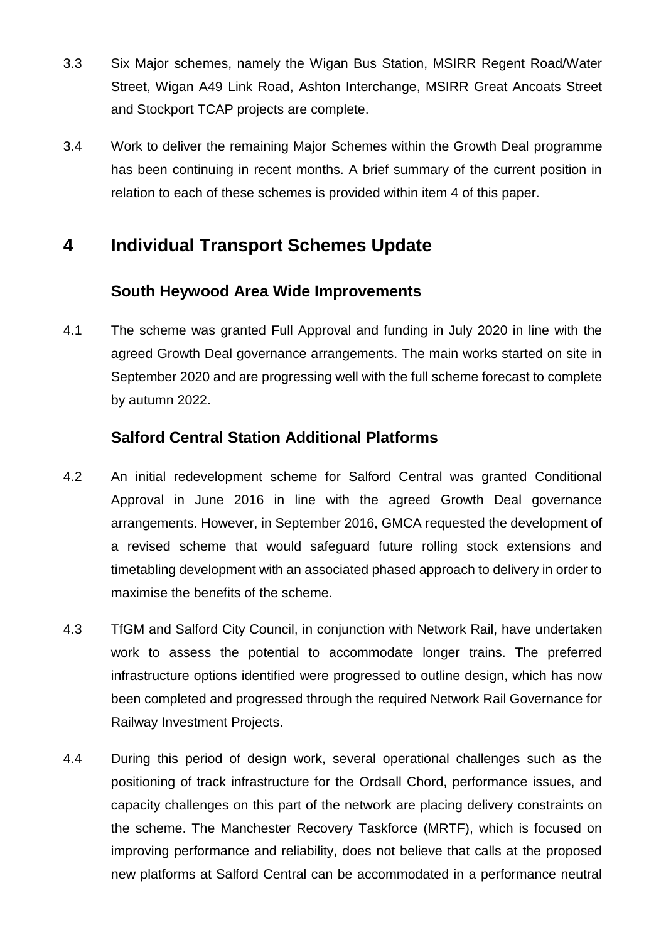- 3.3 Six Major schemes, namely the Wigan Bus Station, MSIRR Regent Road/Water Street, Wigan A49 Link Road, Ashton Interchange, MSIRR Great Ancoats Street and Stockport TCAP projects are complete.
- 3.4 Work to deliver the remaining Major Schemes within the Growth Deal programme has been continuing in recent months. A brief summary of the current position in relation to each of these schemes is provided within item 4 of this paper.

## **4 Individual Transport Schemes Update**

#### **South Heywood Area Wide Improvements**

4.1 The scheme was granted Full Approval and funding in July 2020 in line with the agreed Growth Deal governance arrangements. The main works started on site in September 2020 and are progressing well with the full scheme forecast to complete by autumn 2022.

#### **Salford Central Station Additional Platforms**

- 4.2 An initial redevelopment scheme for Salford Central was granted Conditional Approval in June 2016 in line with the agreed Growth Deal governance arrangements. However, in September 2016, GMCA requested the development of a revised scheme that would safeguard future rolling stock extensions and timetabling development with an associated phased approach to delivery in order to maximise the benefits of the scheme.
- 4.3 TfGM and Salford City Council, in conjunction with Network Rail, have undertaken work to assess the potential to accommodate longer trains. The preferred infrastructure options identified were progressed to outline design, which has now been completed and progressed through the required Network Rail Governance for Railway Investment Projects.
- 4.4 During this period of design work, several operational challenges such as the positioning of track infrastructure for the Ordsall Chord, performance issues, and capacity challenges on this part of the network are placing delivery constraints on the scheme. The Manchester Recovery Taskforce (MRTF), which is focused on improving performance and reliability, does not believe that calls at the proposed new platforms at Salford Central can be accommodated in a performance neutral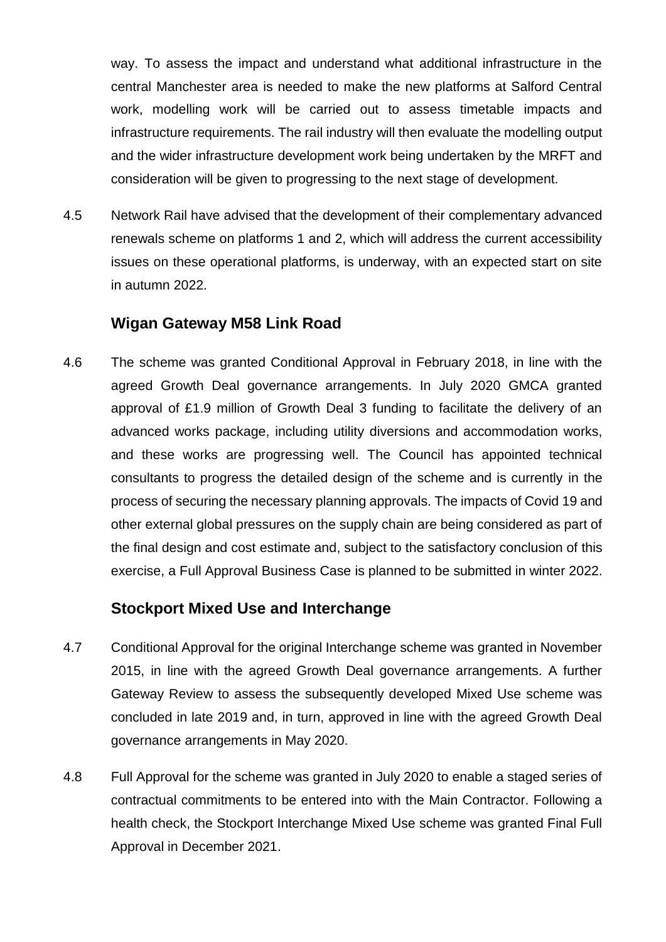way. To assess the impact and understand what additional infrastructure in the central Manchester area is needed to make the new platforms at Salford Central work, modelling work will be carried out to assess timetable impacts and infrastructure requirements. The rail industry will then evaluate the modelling output and the wider infrastructure development work being undertaken by the MRFT and consideration will be given to progressing to the next stage of development.

4.5 Network Rail have advised that the development of their complementary advanced renewals scheme on platforms 1 and 2, which will address the current accessibility issues on these operational platforms, is underway, with an expected start on site in autumn 2022.

#### **Wigan Gateway M58 Link Road**

4.6 The scheme was granted Conditional Approval in February 2018, in line with the agreed Growth Deal governance arrangements. In July 2020 GMCA granted approval of £1.9 million of Growth Deal 3 funding to facilitate the delivery of an advanced works package, including utility diversions and accommodation works, and these works are progressing well. The Council has appointed technical consultants to progress the detailed design of the scheme and is currently in the process of securing the necessary planning approvals. The impacts of Covid 19 and other external global pressures on the supply chain are being considered as part of the final design and cost estimate and, subject to the satisfactory conclusion of this exercise, a Full Approval Business Case is planned to be submitted in winter 2022.

#### **Stockport Mixed Use and Interchange**

- 4.7 Conditional Approval for the original Interchange scheme was granted in November 2015, in line with the agreed Growth Deal governance arrangements. A further Gateway Review to assess the subsequently developed Mixed Use scheme was concluded in late 2019 and, in turn, approved in line with the agreed Growth Deal governance arrangements in May 2020.
- 4.8 Full Approval for the scheme was granted in July 2020 to enable a staged series of contractual commitments to be entered into with the Main Contractor. Following a health check, the Stockport Interchange Mixed Use scheme was granted Final Full Approval in December 2021.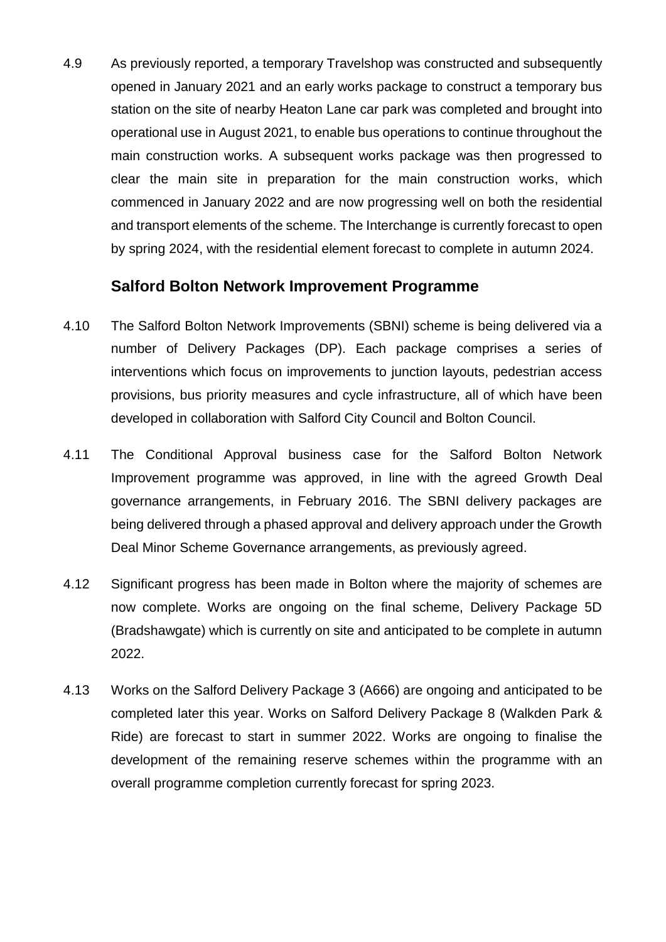4.9 As previously reported, a temporary Travelshop was constructed and subsequently opened in January 2021 and an early works package to construct a temporary bus station on the site of nearby Heaton Lane car park was completed and brought into operational use in August 2021, to enable bus operations to continue throughout the main construction works. A subsequent works package was then progressed to clear the main site in preparation for the main construction works, which commenced in January 2022 and are now progressing well on both the residential and transport elements of the scheme. The Interchange is currently forecast to open by spring 2024, with the residential element forecast to complete in autumn 2024.

#### **Salford Bolton Network Improvement Programme**

- 4.10 The Salford Bolton Network Improvements (SBNI) scheme is being delivered via a number of Delivery Packages (DP). Each package comprises a series of interventions which focus on improvements to junction layouts, pedestrian access provisions, bus priority measures and cycle infrastructure, all of which have been developed in collaboration with Salford City Council and Bolton Council.
- 4.11 The Conditional Approval business case for the Salford Bolton Network Improvement programme was approved, in line with the agreed Growth Deal governance arrangements, in February 2016. The SBNI delivery packages are being delivered through a phased approval and delivery approach under the Growth Deal Minor Scheme Governance arrangements, as previously agreed.
- 4.12 Significant progress has been made in Bolton where the majority of schemes are now complete. Works are ongoing on the final scheme, Delivery Package 5D (Bradshawgate) which is currently on site and anticipated to be complete in autumn 2022.
- 4.13 Works on the Salford Delivery Package 3 (A666) are ongoing and anticipated to be completed later this year. Works on Salford Delivery Package 8 (Walkden Park & Ride) are forecast to start in summer 2022. Works are ongoing to finalise the development of the remaining reserve schemes within the programme with an overall programme completion currently forecast for spring 2023.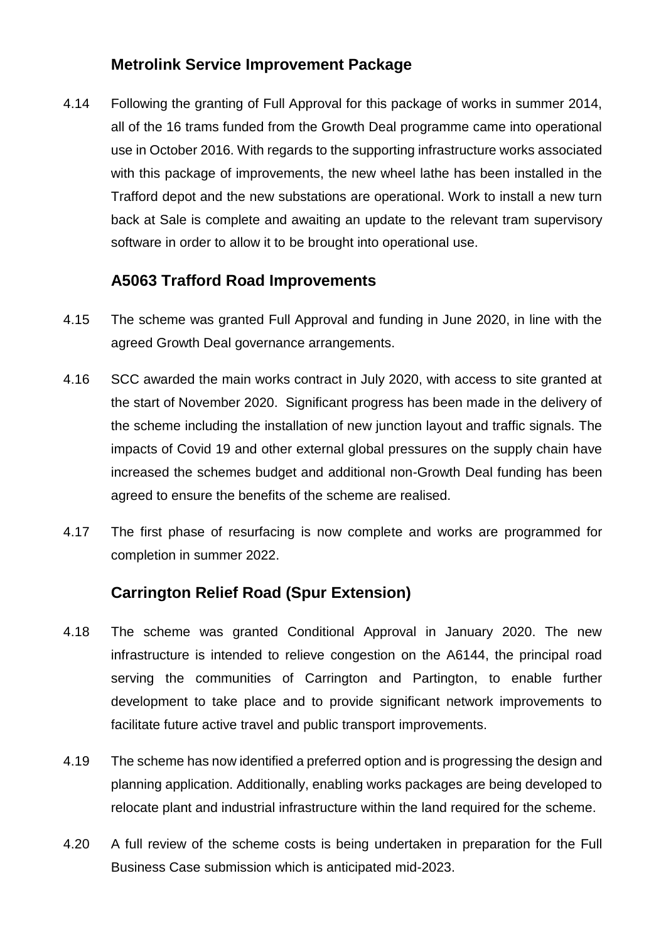#### **Metrolink Service Improvement Package**

4.14 Following the granting of Full Approval for this package of works in summer 2014, all of the 16 trams funded from the Growth Deal programme came into operational use in October 2016. With regards to the supporting infrastructure works associated with this package of improvements, the new wheel lathe has been installed in the Trafford depot and the new substations are operational. Work to install a new turn back at Sale is complete and awaiting an update to the relevant tram supervisory software in order to allow it to be brought into operational use.

### **A5063 Trafford Road Improvements**

- 4.15 The scheme was granted Full Approval and funding in June 2020, in line with the agreed Growth Deal governance arrangements.
- 4.16 SCC awarded the main works contract in July 2020, with access to site granted at the start of November 2020. Significant progress has been made in the delivery of the scheme including the installation of new junction layout and traffic signals. The impacts of Covid 19 and other external global pressures on the supply chain have increased the schemes budget and additional non-Growth Deal funding has been agreed to ensure the benefits of the scheme are realised.
- 4.17 The first phase of resurfacing is now complete and works are programmed for completion in summer 2022.

## **Carrington Relief Road (Spur Extension)**

- 4.18 The scheme was granted Conditional Approval in January 2020. The new infrastructure is intended to relieve congestion on the A6144, the principal road serving the communities of Carrington and Partington, to enable further development to take place and to provide significant network improvements to facilitate future active travel and public transport improvements.
- 4.19 The scheme has now identified a preferred option and is progressing the design and planning application. Additionally, enabling works packages are being developed to relocate plant and industrial infrastructure within the land required for the scheme.
- 4.20 A full review of the scheme costs is being undertaken in preparation for the Full Business Case submission which is anticipated mid-2023.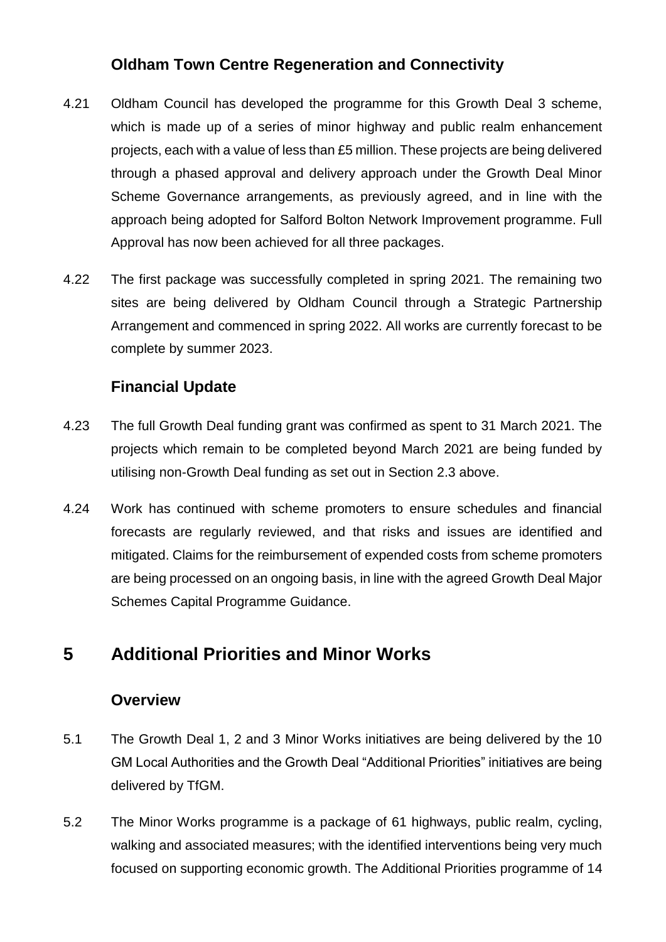## **Oldham Town Centre Regeneration and Connectivity**

- 4.21 Oldham Council has developed the programme for this Growth Deal 3 scheme, which is made up of a series of minor highway and public realm enhancement projects, each with a value of less than £5 million. These projects are being delivered through a phased approval and delivery approach under the Growth Deal Minor Scheme Governance arrangements, as previously agreed, and in line with the approach being adopted for Salford Bolton Network Improvement programme. Full Approval has now been achieved for all three packages.
- 4.22 The first package was successfully completed in spring 2021. The remaining two sites are being delivered by Oldham Council through a Strategic Partnership Arrangement and commenced in spring 2022. All works are currently forecast to be complete by summer 2023.

## **Financial Update**

- 4.23 The full Growth Deal funding grant was confirmed as spent to 31 March 2021. The projects which remain to be completed beyond March 2021 are being funded by utilising non-Growth Deal funding as set out in Section 2.3 above.
- 4.24 Work has continued with scheme promoters to ensure schedules and financial forecasts are regularly reviewed, and that risks and issues are identified and mitigated. Claims for the reimbursement of expended costs from scheme promoters are being processed on an ongoing basis, in line with the agreed Growth Deal Major Schemes Capital Programme Guidance.

# **5 Additional Priorities and Minor Works**

#### **Overview**

- 5.1 The Growth Deal 1, 2 and 3 Minor Works initiatives are being delivered by the 10 GM Local Authorities and the Growth Deal "Additional Priorities" initiatives are being delivered by TfGM.
- 5.2 The Minor Works programme is a package of 61 highways, public realm, cycling, walking and associated measures; with the identified interventions being very much focused on supporting economic growth. The Additional Priorities programme of 14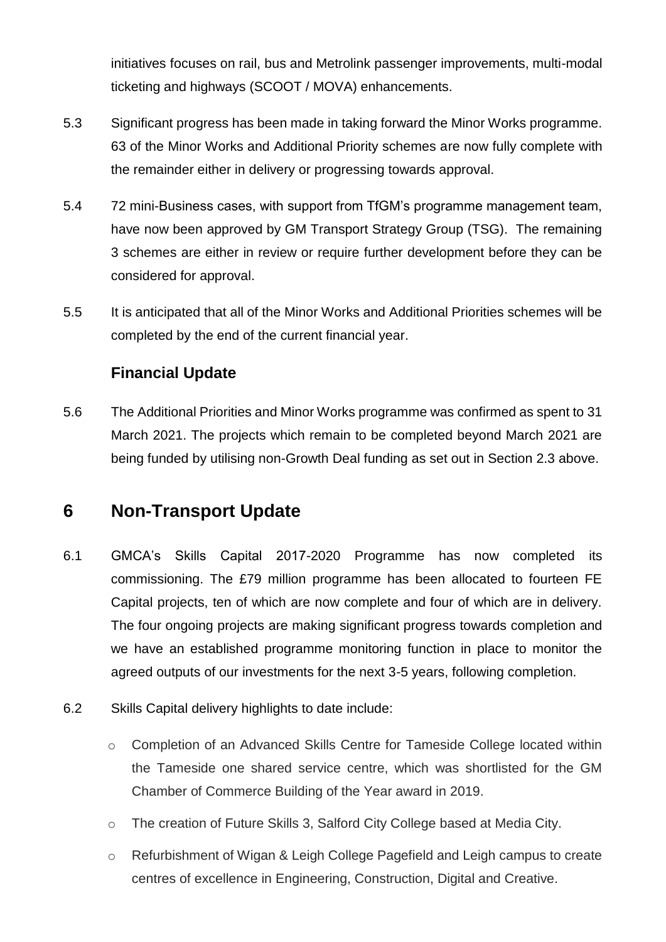initiatives focuses on rail, bus and Metrolink passenger improvements, multi-modal ticketing and highways (SCOOT / MOVA) enhancements.

- 5.3 Significant progress has been made in taking forward the Minor Works programme. 63 of the Minor Works and Additional Priority schemes are now fully complete with the remainder either in delivery or progressing towards approval.
- 5.4 72 mini-Business cases, with support from TfGM's programme management team, have now been approved by GM Transport Strategy Group (TSG). The remaining 3 schemes are either in review or require further development before they can be considered for approval.
- 5.5 It is anticipated that all of the Minor Works and Additional Priorities schemes will be completed by the end of the current financial year.

## **Financial Update**

5.6 The Additional Priorities and Minor Works programme was confirmed as spent to 31 March 2021. The projects which remain to be completed beyond March 2021 are being funded by utilising non-Growth Deal funding as set out in Section 2.3 above.

## **6 Non-Transport Update**

- 6.1 GMCA's Skills Capital 2017-2020 Programme has now completed its commissioning. The £79 million programme has been allocated to fourteen FE Capital projects, ten of which are now complete and four of which are in delivery. The four ongoing projects are making significant progress towards completion and we have an established programme monitoring function in place to monitor the agreed outputs of our investments for the next 3-5 years, following completion.
- 6.2 Skills Capital delivery highlights to date include:
	- o Completion of an Advanced Skills Centre for Tameside College located within the Tameside one shared service centre, which was shortlisted for the GM Chamber of Commerce Building of the Year award in 2019.
	- o The creation of Future Skills 3, Salford City College based at Media City.
	- o Refurbishment of Wigan & Leigh College Pagefield and Leigh campus to create centres of excellence in Engineering, Construction, Digital and Creative.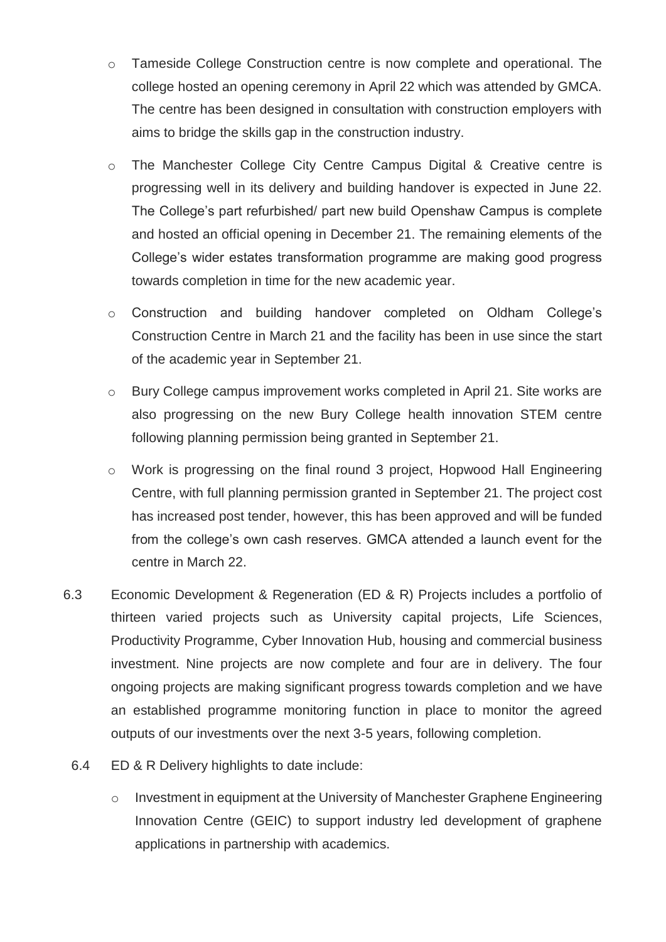- o Tameside College Construction centre is now complete and operational. The college hosted an opening ceremony in April 22 which was attended by GMCA. The centre has been designed in consultation with construction employers with aims to bridge the skills gap in the construction industry.
- o The Manchester College City Centre Campus Digital & Creative centre is progressing well in its delivery and building handover is expected in June 22. The College's part refurbished/ part new build Openshaw Campus is complete and hosted an official opening in December 21. The remaining elements of the College's wider estates transformation programme are making good progress towards completion in time for the new academic year.
- o Construction and building handover completed on Oldham College's Construction Centre in March 21 and the facility has been in use since the start of the academic year in September 21.
- o Bury College campus improvement works completed in April 21. Site works are also progressing on the new Bury College health innovation STEM centre following planning permission being granted in September 21.
- o Work is progressing on the final round 3 project, Hopwood Hall Engineering Centre, with full planning permission granted in September 21. The project cost has increased post tender, however, this has been approved and will be funded from the college's own cash reserves. GMCA attended a launch event for the centre in March 22.
- 6.3 Economic Development & Regeneration (ED & R) Projects includes a portfolio of thirteen varied projects such as University capital projects, Life Sciences, Productivity Programme, Cyber Innovation Hub, housing and commercial business investment. Nine projects are now complete and four are in delivery. The four ongoing projects are making significant progress towards completion and we have an established programme monitoring function in place to monitor the agreed outputs of our investments over the next 3-5 years, following completion.
	- 6.4 ED & R Delivery highlights to date include:
		- o Investment in equipment at the University of Manchester Graphene Engineering Innovation Centre (GEIC) to support industry led development of graphene applications in partnership with academics.